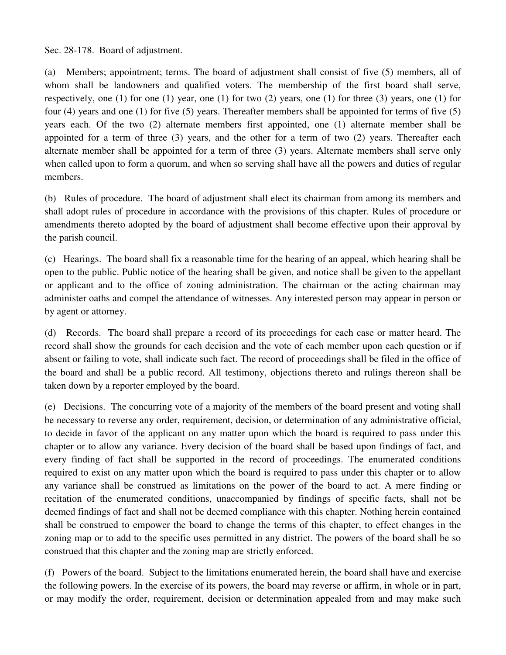Sec. 28-178. Board of adjustment.

(a) Members; appointment; terms. The board of adjustment shall consist of five (5) members, all of whom shall be landowners and qualified voters. The membership of the first board shall serve, respectively, one (1) for one (1) year, one (1) for two (2) years, one (1) for three (3) years, one (1) for four (4) years and one (1) for five (5) years. Thereafter members shall be appointed for terms of five (5) years each. Of the two (2) alternate members first appointed, one (1) alternate member shall be appointed for a term of three (3) years, and the other for a term of two (2) years. Thereafter each alternate member shall be appointed for a term of three (3) years. Alternate members shall serve only when called upon to form a quorum, and when so serving shall have all the powers and duties of regular members.

(b) Rules of procedure. The board of adjustment shall elect its chairman from among its members and shall adopt rules of procedure in accordance with the provisions of this chapter. Rules of procedure or amendments thereto adopted by the board of adjustment shall become effective upon their approval by the parish council.

(c) Hearings. The board shall fix a reasonable time for the hearing of an appeal, which hearing shall be open to the public. Public notice of the hearing shall be given, and notice shall be given to the appellant or applicant and to the office of zoning administration. The chairman or the acting chairman may administer oaths and compel the attendance of witnesses. Any interested person may appear in person or by agent or attorney.

(d) Records. The board shall prepare a record of its proceedings for each case or matter heard. The record shall show the grounds for each decision and the vote of each member upon each question or if absent or failing to vote, shall indicate such fact. The record of proceedings shall be filed in the office of the board and shall be a public record. All testimony, objections thereto and rulings thereon shall be taken down by a reporter employed by the board.

(e) Decisions. The concurring vote of a majority of the members of the board present and voting shall be necessary to reverse any order, requirement, decision, or determination of any administrative official, to decide in favor of the applicant on any matter upon which the board is required to pass under this chapter or to allow any variance. Every decision of the board shall be based upon findings of fact, and every finding of fact shall be supported in the record of proceedings. The enumerated conditions required to exist on any matter upon which the board is required to pass under this chapter or to allow any variance shall be construed as limitations on the power of the board to act. A mere finding or recitation of the enumerated conditions, unaccompanied by findings of specific facts, shall not be deemed findings of fact and shall not be deemed compliance with this chapter. Nothing herein contained shall be construed to empower the board to change the terms of this chapter, to effect changes in the zoning map or to add to the specific uses permitted in any district. The powers of the board shall be so construed that this chapter and the zoning map are strictly enforced.

(f) Powers of the board. Subject to the limitations enumerated herein, the board shall have and exercise the following powers. In the exercise of its powers, the board may reverse or affirm, in whole or in part, or may modify the order, requirement, decision or determination appealed from and may make such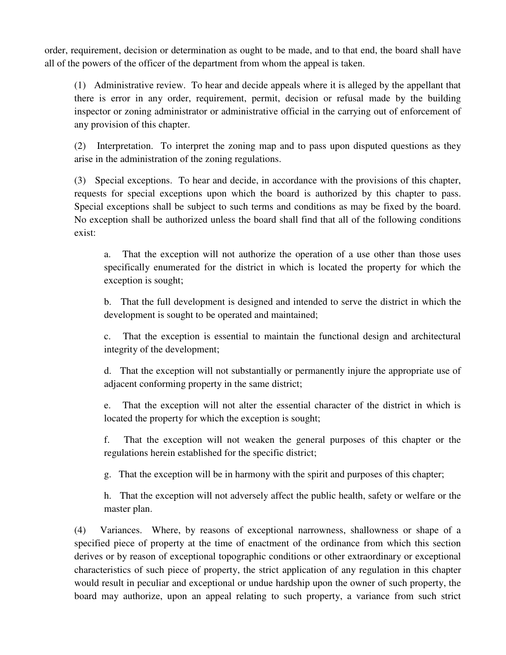order, requirement, decision or determination as ought to be made, and to that end, the board shall have all of the powers of the officer of the department from whom the appeal is taken.

(1) Administrative review. To hear and decide appeals where it is alleged by the appellant that there is error in any order, requirement, permit, decision or refusal made by the building inspector or zoning administrator or administrative official in the carrying out of enforcement of any provision of this chapter.

(2) Interpretation. To interpret the zoning map and to pass upon disputed questions as they arise in the administration of the zoning regulations.

(3) Special exceptions. To hear and decide, in accordance with the provisions of this chapter, requests for special exceptions upon which the board is authorized by this chapter to pass. Special exceptions shall be subject to such terms and conditions as may be fixed by the board. No exception shall be authorized unless the board shall find that all of the following conditions exist:

a. That the exception will not authorize the operation of a use other than those uses specifically enumerated for the district in which is located the property for which the exception is sought;

b. That the full development is designed and intended to serve the district in which the development is sought to be operated and maintained;

c. That the exception is essential to maintain the functional design and architectural integrity of the development;

d. That the exception will not substantially or permanently injure the appropriate use of adjacent conforming property in the same district;

e. That the exception will not alter the essential character of the district in which is located the property for which the exception is sought;

f. That the exception will not weaken the general purposes of this chapter or the regulations herein established for the specific district;

g. That the exception will be in harmony with the spirit and purposes of this chapter;

h. That the exception will not adversely affect the public health, safety or welfare or the master plan.

(4) Variances. Where, by reasons of exceptional narrowness, shallowness or shape of a specified piece of property at the time of enactment of the ordinance from which this section derives or by reason of exceptional topographic conditions or other extraordinary or exceptional characteristics of such piece of property, the strict application of any regulation in this chapter would result in peculiar and exceptional or undue hardship upon the owner of such property, the board may authorize, upon an appeal relating to such property, a variance from such strict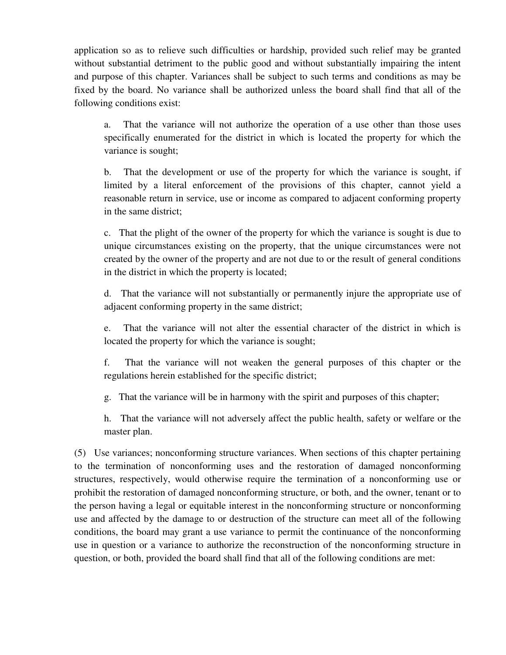application so as to relieve such difficulties or hardship, provided such relief may be granted without substantial detriment to the public good and without substantially impairing the intent and purpose of this chapter. Variances shall be subject to such terms and conditions as may be fixed by the board. No variance shall be authorized unless the board shall find that all of the following conditions exist:

a. That the variance will not authorize the operation of a use other than those uses specifically enumerated for the district in which is located the property for which the variance is sought;

b. That the development or use of the property for which the variance is sought, if limited by a literal enforcement of the provisions of this chapter, cannot yield a reasonable return in service, use or income as compared to adjacent conforming property in the same district;

c. That the plight of the owner of the property for which the variance is sought is due to unique circumstances existing on the property, that the unique circumstances were not created by the owner of the property and are not due to or the result of general conditions in the district in which the property is located;

d. That the variance will not substantially or permanently injure the appropriate use of adjacent conforming property in the same district;

e. That the variance will not alter the essential character of the district in which is located the property for which the variance is sought;

f. That the variance will not weaken the general purposes of this chapter or the regulations herein established for the specific district;

g. That the variance will be in harmony with the spirit and purposes of this chapter;

h. That the variance will not adversely affect the public health, safety or welfare or the master plan.

(5) Use variances; nonconforming structure variances. When sections of this chapter pertaining to the termination of nonconforming uses and the restoration of damaged nonconforming structures, respectively, would otherwise require the termination of a nonconforming use or prohibit the restoration of damaged nonconforming structure, or both, and the owner, tenant or to the person having a legal or equitable interest in the nonconforming structure or nonconforming use and affected by the damage to or destruction of the structure can meet all of the following conditions, the board may grant a use variance to permit the continuance of the nonconforming use in question or a variance to authorize the reconstruction of the nonconforming structure in question, or both, provided the board shall find that all of the following conditions are met: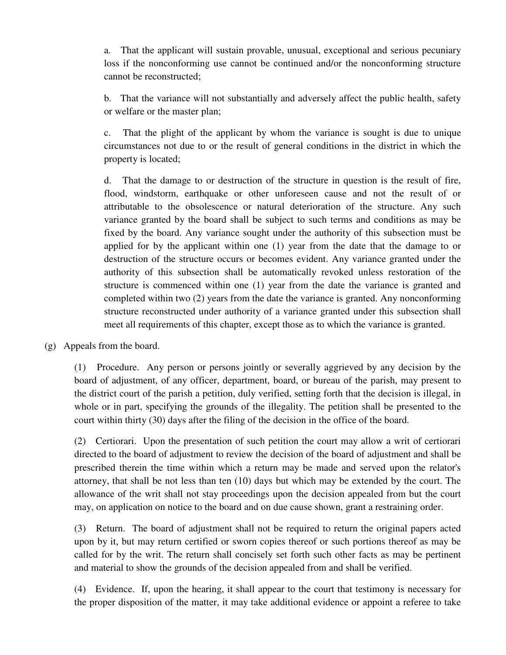a. That the applicant will sustain provable, unusual, exceptional and serious pecuniary loss if the nonconforming use cannot be continued and/or the nonconforming structure cannot be reconstructed;

b. That the variance will not substantially and adversely affect the public health, safety or welfare or the master plan;

c. That the plight of the applicant by whom the variance is sought is due to unique circumstances not due to or the result of general conditions in the district in which the property is located;

d. That the damage to or destruction of the structure in question is the result of fire, flood, windstorm, earthquake or other unforeseen cause and not the result of or attributable to the obsolescence or natural deterioration of the structure. Any such variance granted by the board shall be subject to such terms and conditions as may be fixed by the board. Any variance sought under the authority of this subsection must be applied for by the applicant within one (1) year from the date that the damage to or destruction of the structure occurs or becomes evident. Any variance granted under the authority of this subsection shall be automatically revoked unless restoration of the structure is commenced within one (1) year from the date the variance is granted and completed within two (2) years from the date the variance is granted. Any nonconforming structure reconstructed under authority of a variance granted under this subsection shall meet all requirements of this chapter, except those as to which the variance is granted.

(g) Appeals from the board.

(1) Procedure. Any person or persons jointly or severally aggrieved by any decision by the board of adjustment, of any officer, department, board, or bureau of the parish, may present to the district court of the parish a petition, duly verified, setting forth that the decision is illegal, in whole or in part, specifying the grounds of the illegality. The petition shall be presented to the court within thirty (30) days after the filing of the decision in the office of the board.

(2) Certiorari. Upon the presentation of such petition the court may allow a writ of certiorari directed to the board of adjustment to review the decision of the board of adjustment and shall be prescribed therein the time within which a return may be made and served upon the relator's attorney, that shall be not less than ten (10) days but which may be extended by the court. The allowance of the writ shall not stay proceedings upon the decision appealed from but the court may, on application on notice to the board and on due cause shown, grant a restraining order.

(3) Return. The board of adjustment shall not be required to return the original papers acted upon by it, but may return certified or sworn copies thereof or such portions thereof as may be called for by the writ. The return shall concisely set forth such other facts as may be pertinent and material to show the grounds of the decision appealed from and shall be verified.

(4) Evidence. If, upon the hearing, it shall appear to the court that testimony is necessary for the proper disposition of the matter, it may take additional evidence or appoint a referee to take